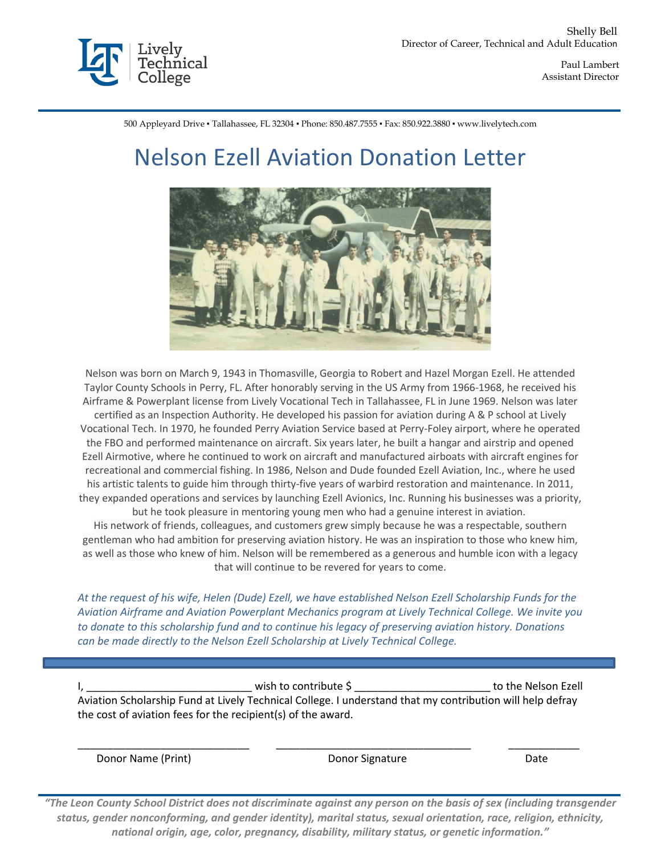

 Paul Lambert Assistant Director

500 Appleyard Drive ▪ Tallahassee, FL 32304 ▪ Phone: 850.487.7555 ▪ Fax: 850.922.3880 ▪ www.livelytech.com

## Nelson Ezell Aviation Donation Letter



Nelson was born on March 9, 1943 in Thomasville, Georgia to Robert and Hazel Morgan Ezell. He attended Taylor County Schools in Perry, FL. After honorably serving in the US Army from 1966-1968, he received his Airframe & Powerplant license from Lively Vocational Tech in Tallahassee, FL in June 1969. Nelson was later certified as an Inspection Authority. He developed his passion for aviation during A & P school at Lively Vocational Tech. In 1970, he founded Perry Aviation Service based at Perry-Foley airport, where he operated the FBO and performed maintenance on aircraft. Six years later, he built a hangar and airstrip and opened Ezell Airmotive, where he continued to work on aircraft and manufactured airboats with aircraft engines for recreational and commercial fishing. In 1986, Nelson and Dude founded Ezell Aviation, Inc., where he used his artistic talents to guide him through thirty-five years of warbird restoration and maintenance. In 2011, they expanded operations and services by launching Ezell Avionics, Inc. Running his businesses was a priority, but he took pleasure in mentoring young men who had a genuine interest in aviation.

His network of friends, colleagues, and customers grew simply because he was a respectable, southern gentleman who had ambition for preserving aviation history. He was an inspiration to those who knew him, as well as those who knew of him. Nelson will be remembered as a generous and humble icon with a legacy that will continue to be revered for years to come.

*At the request of his wife, Helen (Dude) Ezell, we have established Nelson Ezell Scholarship Funds for the Aviation Airframe and Aviation Powerplant Mechanics program at Lively Technical College. We invite you to donate to this scholarship fund and to continue his legacy of preserving aviation history. Donations can be made directly to the Nelson Ezell Scholarship at Lively Technical College.* 

 $\blacksquare$  wish to contribute  $\zeta$ Aviation Scholarship Fund at Lively Technical College. I understand that my contribution will help defray the cost of aviation fees for the recipient(s) of the award.

\_\_\_\_\_\_\_\_\_\_\_\_\_\_\_\_\_\_\_\_\_\_\_\_\_\_\_\_\_ \_\_\_\_\_\_\_\_\_\_\_\_\_\_\_\_\_\_\_\_\_\_\_\_\_\_\_\_\_\_\_\_\_ \_\_\_\_\_\_\_\_\_\_\_\_

Donor Name (Print) Donor Signature Date

*"The Leon County School District does not discriminate against any person on the basis of sex (including transgender status, gender nonconforming, and gender identity), marital status, sexual orientation, race, religion, ethnicity, national origin, age, color, pregnancy, disability, military status, or genetic information."*